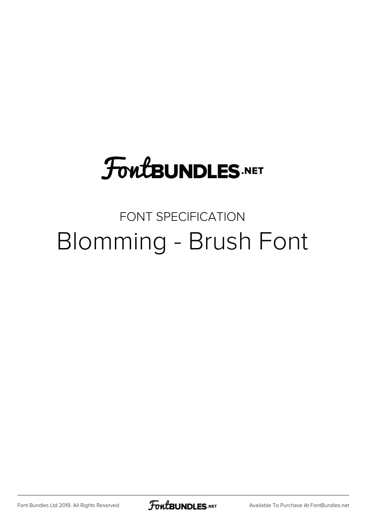# **FoutBUNDLES.NET**

## FONT SPECIFICATION Blomming - Brush Font

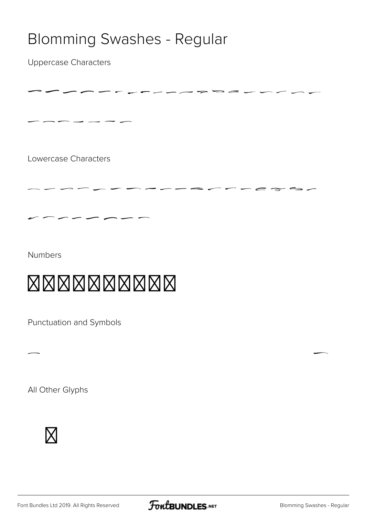#### Blomming Swashes - Regular

-----------------

 $\overline{\phantom{a}}$ 

Uppercase Characters

Lowercase Characters

 $-$ 

Numbers

### $\boxtimes \boxtimes \boxtimes \boxtimes \boxtimes \boxtimes$

 $\sim$ studio  $\sim$ 

Punctuation and Symbols

All Other Glyphs





, and the contract of the contract of the contract of the contract of the contract of the contract of the contract of the contract of the contract of the contract of the contract of the contract of the contract of the con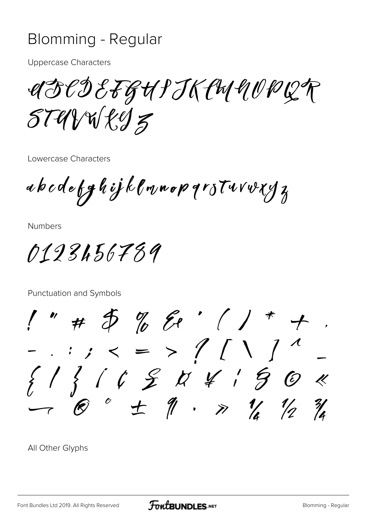#### Blomming - Regular

**Uppercase Characters** 

UFCDEFGHIJKCHUWWQP  $STUVWEJZ$ 

Lowercase Characters

abodefghijklmnopqrstvrvryz

**Numbers** 

0123456789

Punctuation and Symbols

 $1''$  #  $5$  % & ' ( ) \* + 

All Other Glyphs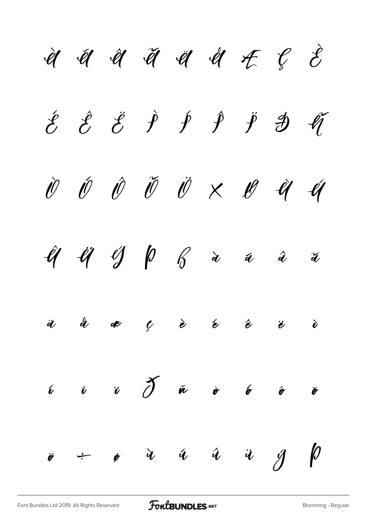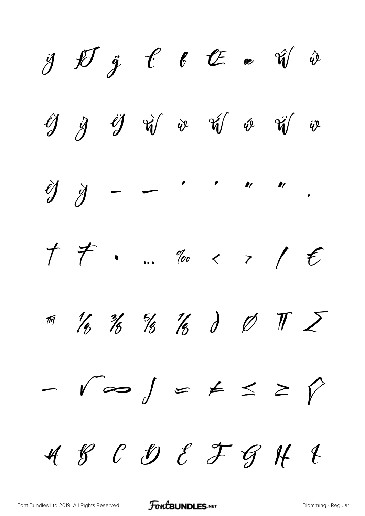$\begin{array}{cccccccccccccc} \mathcal{Y} & \mathcal{Y} & \mathcal{Y} & \mathcal{Y} & \mathcal{C} & \mathcal{C} & \mathcal{C} & \mathcal{C} & \mathcal{C} & \mathcal{C} & \mathcal{V} & \mathcal{V} \end{array}$  $\bigcirc\!\!\!\!/\!\!\!\!/\psi\qquad\psi\qquad\!\!\!\!/\psi\qquad\!\!\!\!/\psi\qquad\!\!\!\!/\psi\qquad\!\!\!\!/\psi\qquad\!\!\!\!/\psi\qquad\!\!\!\!/\psi\qquad\!\!\!\!/\psi\qquad\!\!\!\!/\psi\qquad\!\!\!\!/\psi\qquad\!\!\!\!/\psi\qquad\!\!\!\!/\psi\qquad\!\!\!\!/\psi\qquad\!\!\!\!/\psi\qquad\!\!\!\!/\psi\qquad\!\!\!\!/\psi\qquad\!\!\!\!/\psi\qquad\!\!\!\!/\psi\qquad\!\!\!\!/\psi\qquad\!\!\!\!/\psi\qquad\!\!\!\!/\psi$  $\hat{y}$  $\begin{array}{ccccccccccccc}\n&\cdot&\cdot&\cdot&\cdot&\cdot&\cdot&\cdot\\
\leftarrow&\cdot&\cdot&\cdot&\cdot&\cdot&\cdot\\
\end{array}$  $\hat{y}$  $\overline{\phantom{0}}$  $\uparrow \uparrow \qquad ... \qquad \qquad \qquad \qquad \qquad \uparrow \qquad \qquad \uparrow \qquad \qquad \uparrow \qquad \qquad \uparrow \qquad \qquad \uparrow \qquad \qquad \uparrow \qquad \qquad \uparrow \qquad \qquad \uparrow \qquad \qquad \uparrow \qquad \uparrow \qquad \qquad \uparrow \qquad \uparrow \qquad \uparrow \qquad \uparrow \qquad \uparrow \qquad \uparrow \qquad \uparrow \qquad \uparrow \qquad \uparrow \qquad \uparrow \qquad \uparrow \qquad \uparrow \qquad \uparrow \qquad \uparrow \qquad \uparrow \qquad \uparrow \qquad \uparrow \qquad \uparrow \qquad$  $\pi$  1/3 1/3 1/3 1/3 1/3 1/2  $-\sqrt{\infty}\int f f \leq f$  $\sqrt{ }$ 4800087941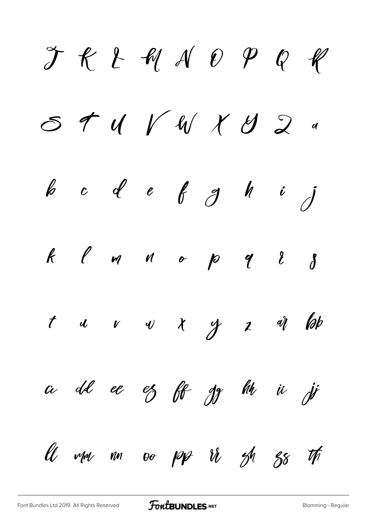$JKLMAOPOR$  $0.59747477777$ b c d e f g h i j  $k$   $\ell$  m  $\kappa$  op  $\ell$   $\ell$   $\delta$  $t$  u v v  $x$  y  $z$  at lab a dd ee ez ff gy hh ii ji ll mm nn oo pp ir oh gs th